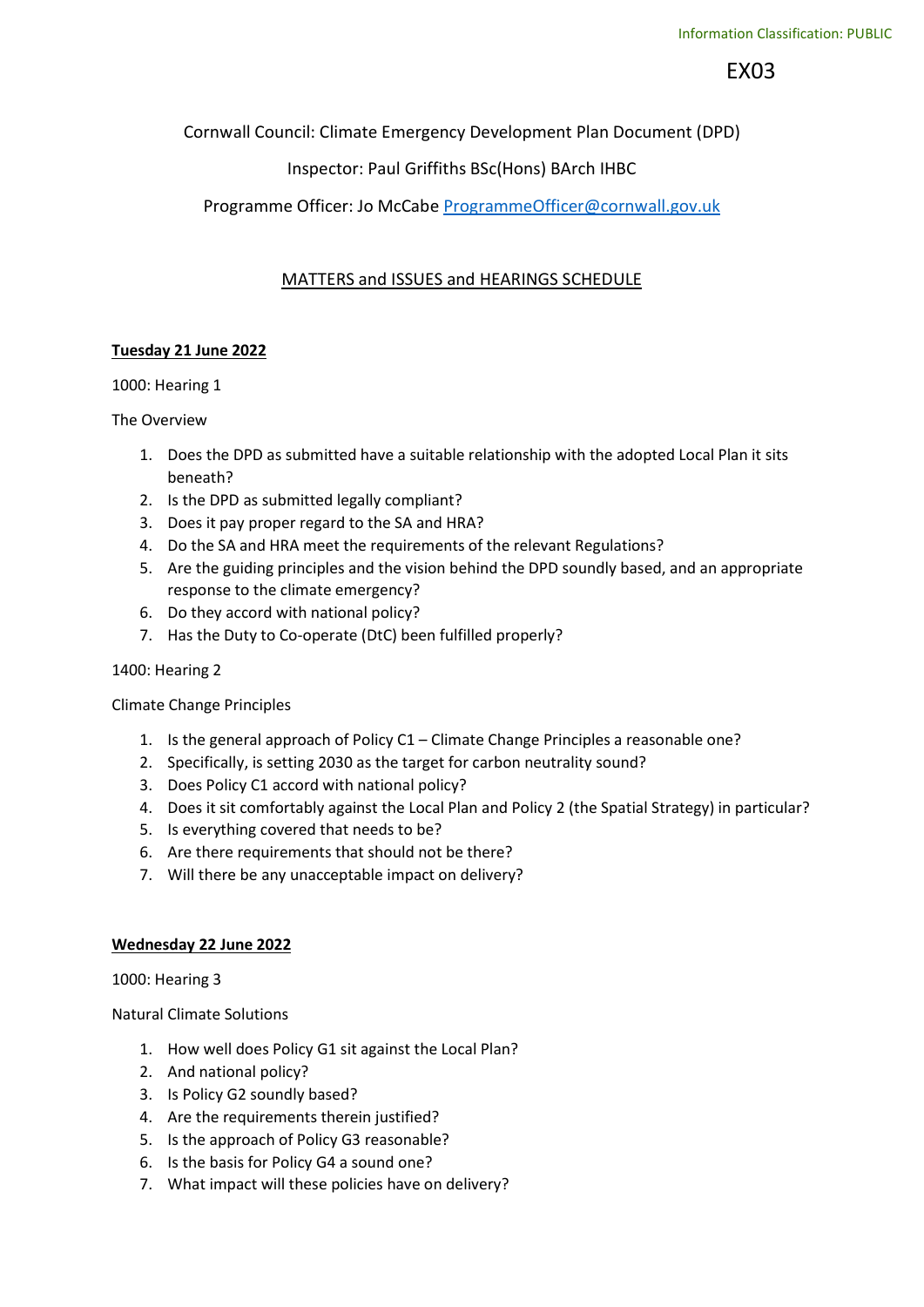EX03

Cornwall Council: Climate Emergency Development Plan Document (DPD)

# Inspector: Paul Griffiths BSc(Hons) BArch IHBC

## Programme Officer: Jo McCabe ProgrammeOfficer@cornwall.gov.uk

## MATTERS and ISSUES and HEARINGS SCHEDULE

## Tuesday 21 June 2022

## 1000: Hearing 1

## The Overview

- 1. Does the DPD as submitted have a suitable relationship with the adopted Local Plan it sits beneath?
- 2. Is the DPD as submitted legally compliant?
- 3. Does it pay proper regard to the SA and HRA?
- 4. Do the SA and HRA meet the requirements of the relevant Regulations?
- 5. Are the guiding principles and the vision behind the DPD soundly based, and an appropriate response to the climate emergency?
- 6. Do they accord with national policy?
- 7. Has the Duty to Co-operate (DtC) been fulfilled properly?

## 1400: Hearing 2

## Climate Change Principles

- 1. Is the general approach of Policy C1 Climate Change Principles a reasonable one?
- 2. Specifically, is setting 2030 as the target for carbon neutrality sound?
- 3. Does Policy C1 accord with national policy?
- 4. Does it sit comfortably against the Local Plan and Policy 2 (the Spatial Strategy) in particular?
- 5. Is everything covered that needs to be?
- 6. Are there requirements that should not be there?
- 7. Will there be any unacceptable impact on delivery?

### Wednesday 22 June 2022

1000: Hearing 3

Natural Climate Solutions

- 1. How well does Policy G1 sit against the Local Plan?
- 2. And national policy?
- 3. Is Policy G2 soundly based?
- 4. Are the requirements therein justified?
- 5. Is the approach of Policy G3 reasonable?
- 6. Is the basis for Policy G4 a sound one?
- 7. What impact will these policies have on delivery?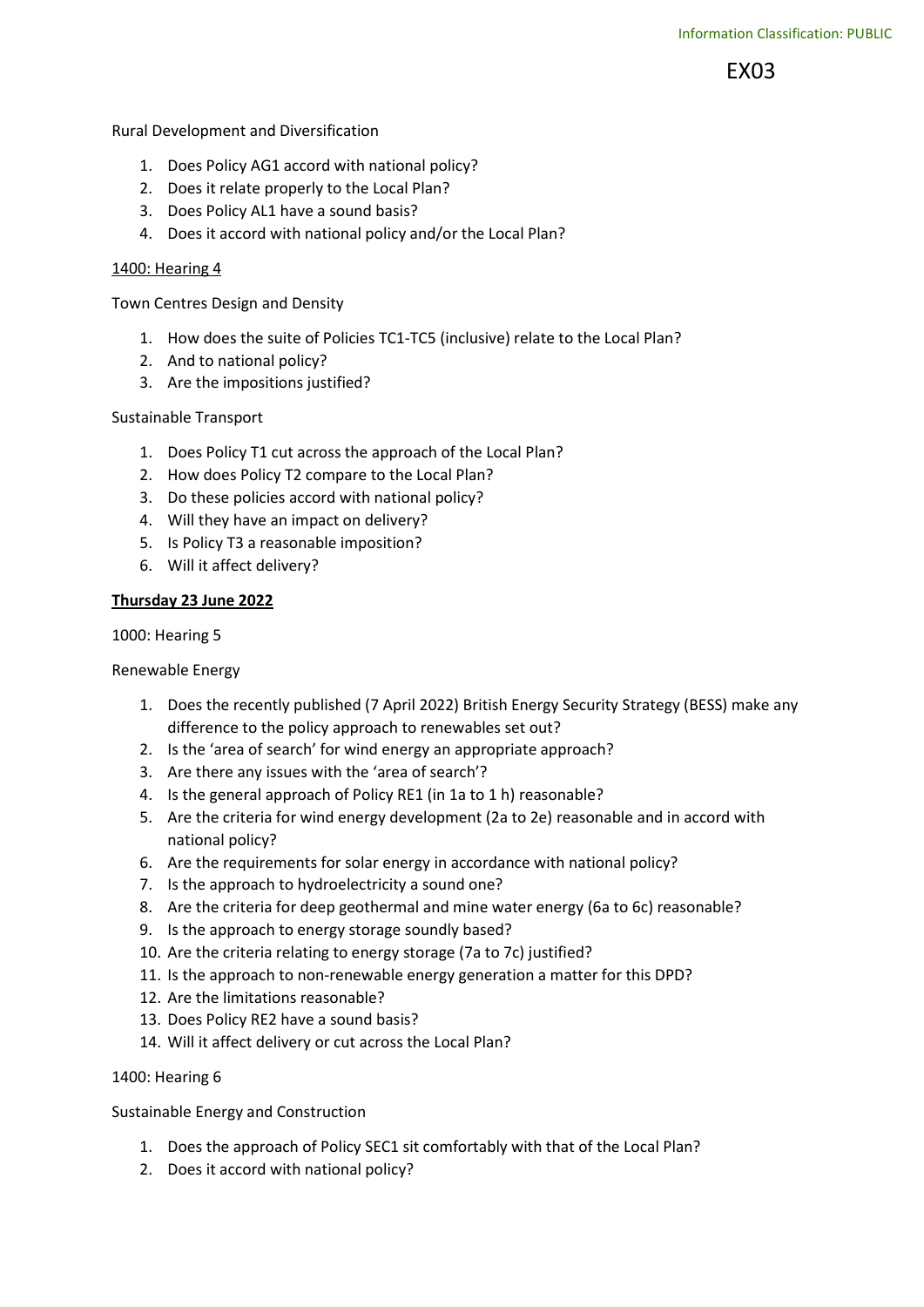EX03

Rural Development and Diversification

- 1. Does Policy AG1 accord with national policy?
- 2. Does it relate properly to the Local Plan?
- 3. Does Policy AL1 have a sound basis?
- 4. Does it accord with national policy and/or the Local Plan?

#### 1400: Hearing 4

Town Centres Design and Density

- 1. How does the suite of Policies TC1-TC5 (inclusive) relate to the Local Plan?
- 2. And to national policy?
- 3. Are the impositions justified?

### Sustainable Transport

- 1. Does Policy T1 cut across the approach of the Local Plan?
- 2. How does Policy T2 compare to the Local Plan?
- 3. Do these policies accord with national policy?
- 4. Will they have an impact on delivery?
- 5. Is Policy T3 a reasonable imposition?
- 6. Will it affect delivery?

#### Thursday 23 June 2022

1000: Hearing 5

Renewable Energy

- 1. Does the recently published (7 April 2022) British Energy Security Strategy (BESS) make any difference to the policy approach to renewables set out?
- 2. Is the 'area of search' for wind energy an appropriate approach?
- 3. Are there any issues with the 'area of search'?
- 4. Is the general approach of Policy RE1 (in 1a to 1 h) reasonable?
- 5. Are the criteria for wind energy development (2a to 2e) reasonable and in accord with national policy?
- 6. Are the requirements for solar energy in accordance with national policy?
- 7. Is the approach to hydroelectricity a sound one?
- 8. Are the criteria for deep geothermal and mine water energy (6a to 6c) reasonable?
- 9. Is the approach to energy storage soundly based?
- 10. Are the criteria relating to energy storage (7a to 7c) justified?
- 11. Is the approach to non-renewable energy generation a matter for this DPD?
- 12. Are the limitations reasonable?
- 13. Does Policy RE2 have a sound basis?
- 14. Will it affect delivery or cut across the Local Plan?

### 1400: Hearing 6

Sustainable Energy and Construction

- 1. Does the approach of Policy SEC1 sit comfortably with that of the Local Plan?
- 2. Does it accord with national policy?